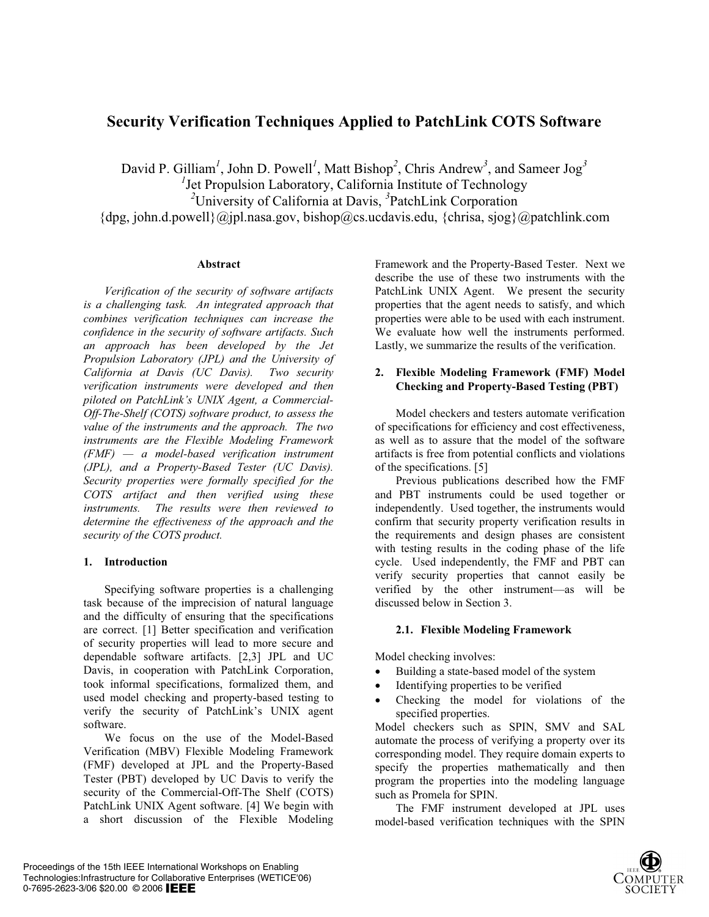# **Security Verification Techniques Applied to PatchLink COTS Software**

David P. Gilliam<sup>1</sup>, John D. Powell<sup>1</sup>, Matt Bishop<sup>2</sup>, Chris Andrew<sup>3</sup>, and Sameer Jog<sup>3</sup> <sup>1</sup> Jet Propulsion Laboratory, California Institute of Technology *2* University of California at Davis, *<sup>3</sup>* PatchLink Corporation  ${\text{dpg.} }$  john.d.powell $\{a\}$ jpl.nasa.gov, bishop@cs.ucdavis.edu,  ${\text{chrisa, siog}}$ @patchlink.com

### **Abstract**

*Verification of the security of software artifacts is a challenging task. An integrated approach that combines verification techniques can increase the confidence in the security of software artifacts. Such an approach has been developed by the Jet Propulsion Laboratory (JPL) and the University of California at Davis (UC Davis). Two security verification instruments were developed and then piloted on PatchLink's UNIX Agent, a Commercial-Off-The-Shelf (COTS) software product, to assess the value of the instruments and the approach. The two instruments are the Flexible Modeling Framework (FMF) — a model-based verification instrument (JPL), and a Property-Based Tester (UC Davis). Security properties were formally specified for the COTS artifact and then verified using these instruments. The results were then reviewed to determine the effectiveness of the approach and the security of the COTS product.* 

# **1. Introduction**

Specifying software properties is a challenging task because of the imprecision of natural language and the difficulty of ensuring that the specifications are correct. [1] Better specification and verification of security properties will lead to more secure and dependable software artifacts. [2,3] JPL and UC Davis, in cooperation with PatchLink Corporation, took informal specifications, formalized them, and used model checking and property-based testing to verify the security of PatchLink's UNIX agent software.

We focus on the use of the Model-Based Verification (MBV) Flexible Modeling Framework (FMF) developed at JPL and the Property-Based Tester (PBT) developed by UC Davis to verify the security of the Commercial-Off-The Shelf (COTS) PatchLink UNIX Agent software. [4] We begin with a short discussion of the Flexible Modeling

Framework and the Property-Based Tester. Next we describe the use of these two instruments with the PatchLink UNIX Agent. We present the security properties that the agent needs to satisfy, and which properties were able to be used with each instrument. We evaluate how well the instruments performed. Lastly, we summarize the results of the verification.

### **2. Flexible Modeling Framework (FMF) Model Checking and Property-Based Testing (PBT)**

Model checkers and testers automate verification of specifications for efficiency and cost effectiveness, as well as to assure that the model of the software artifacts is free from potential conflicts and violations of the specifications. [5]

Previous publications described how the FMF and PBT instruments could be used together or independently. Used together, the instruments would confirm that security property verification results in the requirements and design phases are consistent with testing results in the coding phase of the life cycle. Used independently, the FMF and PBT can verify security properties that cannot easily be verified by the other instrument—as will be discussed below in Section 3.

#### **2.1. Flexible Modeling Framework**

Model checking involves:

- Building a state-based model of the system
- Identifying properties to be verified
- x Checking the model for violations of the specified properties.

Model checkers such as SPIN, SMV and SAL automate the process of verifying a property over its corresponding model. They require domain experts to specify the properties mathematically and then program the properties into the modeling language such as Promela for SPIN.

The FMF instrument developed at JPL uses model-based verification techniques with the SPIN

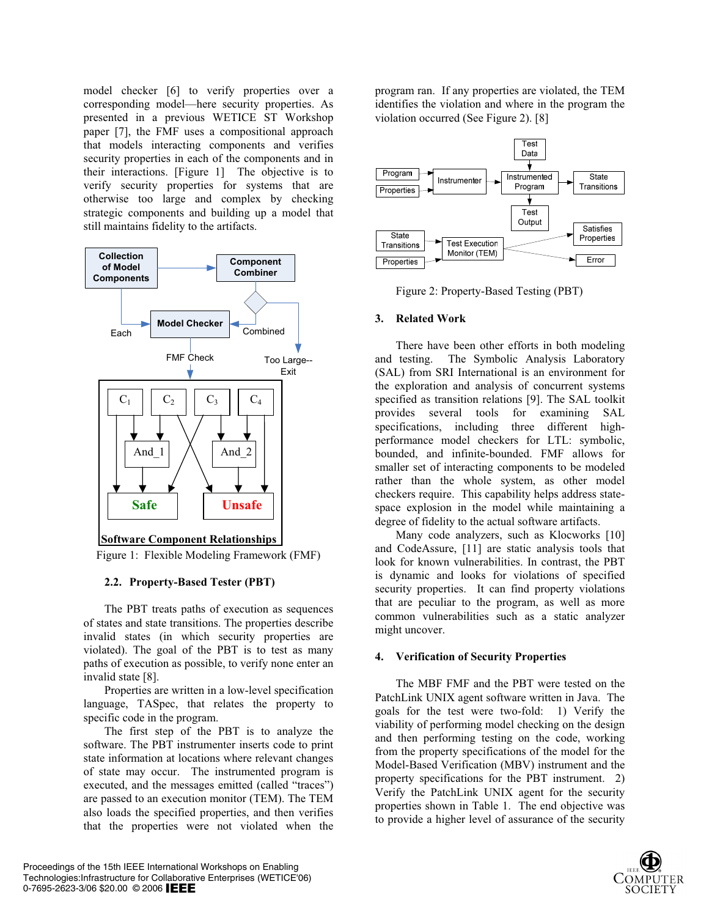model checker [6] to verify properties over a corresponding model—here security properties. As presented in a previous WETICE ST Workshop paper [7], the FMF uses a compositional approach that models interacting components and verifies security properties in each of the components and in their interactions. [Figure 1] The objective is to verify security properties for systems that are otherwise too large and complex by checking strategic components and building up a model that still maintains fidelity to the artifacts.



Figure 1: Flexible Modeling Framework (FMF)

# **2.2. Property-Based Tester (PBT)**

The PBT treats paths of execution as sequences of states and state transitions. The properties describe invalid states (in which security properties are violated). The goal of the PBT is to test as many paths of execution as possible, to verify none enter an invalid state [8].

Properties are written in a low-level specification language, TASpec, that relates the property to specific code in the program.

The first step of the PBT is to analyze the software. The PBT instrumenter inserts code to print state information at locations where relevant changes of state may occur. The instrumented program is executed, and the messages emitted (called "traces") are passed to an execution monitor (TEM). The TEM also loads the specified properties, and then verifies that the properties were not violated when the program ran. If any properties are violated, the TEM identifies the violation and where in the program the violation occurred (See Figure 2). [8]



Figure 2: Property-Based Testing (PBT)

# **3. Related Work**

There have been other efforts in both modeling and testing. The Symbolic Analysis Laboratory (SAL) from SRI International is an environment for the exploration and analysis of concurrent systems specified as transition relations [9]. The SAL toolkit provides several tools for examining SAL specifications, including three different highperformance model checkers for LTL: symbolic, bounded, and infinite-bounded. FMF allows for smaller set of interacting components to be modeled rather than the whole system, as other model checkers require. This capability helps address statespace explosion in the model while maintaining a degree of fidelity to the actual software artifacts.

Many code analyzers, such as Klocworks [10] and CodeAssure, [11] are static analysis tools that look for known vulnerabilities. In contrast, the PBT is dynamic and looks for violations of specified security properties. It can find property violations that are peculiar to the program, as well as more common vulnerabilities such as a static analyzer might uncover.

# **4. Verification of Security Properties**

The MBF FMF and the PBT were tested on the PatchLink UNIX agent software written in Java. The goals for the test were two-fold: 1) Verify the viability of performing model checking on the design and then performing testing on the code, working from the property specifications of the model for the Model-Based Verification (MBV) instrument and the property specifications for the PBT instrument. 2) Verify the PatchLink UNIX agent for the security properties shown in Table 1. The end objective was to provide a higher level of assurance of the security

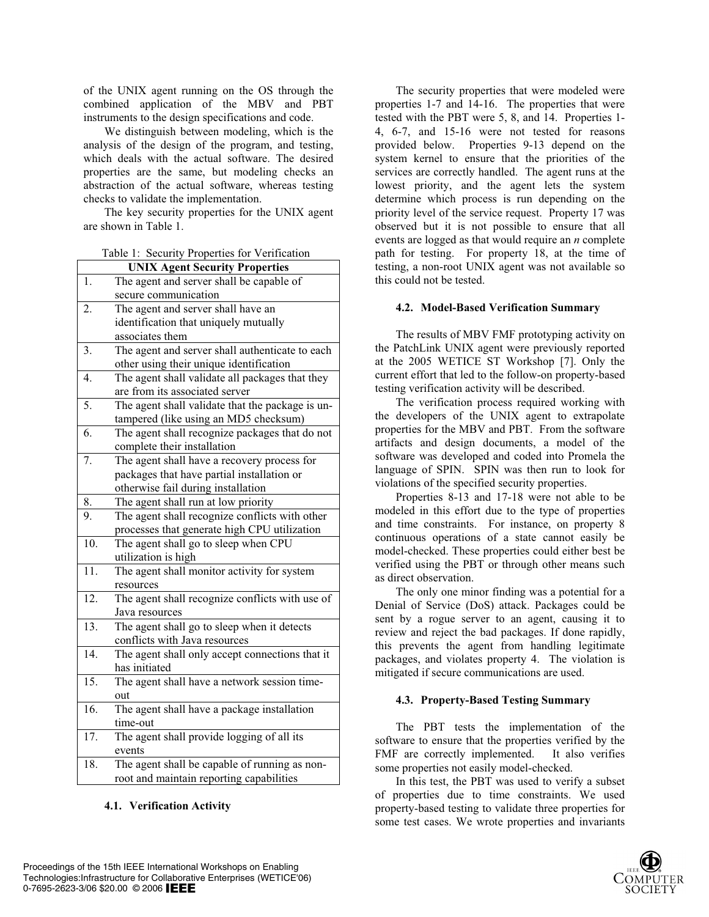of the UNIX agent running on the OS through the combined application of the MBV and PBT instruments to the design specifications and code.

We distinguish between modeling, which is the analysis of the design of the program, and testing, which deals with the actual software. The desired properties are the same, but modeling checks an abstraction of the actual software, whereas testing checks to validate the implementation.

The key security properties for the UNIX agent are shown in Table 1.

|  |  |  |  | Table 1: Security Properties for Verification |
|--|--|--|--|-----------------------------------------------|
|--|--|--|--|-----------------------------------------------|

| <b>UNIX Agent Security Properties</b> |                                                  |  |  |  |
|---------------------------------------|--------------------------------------------------|--|--|--|
| 1.                                    | The agent and server shall be capable of         |  |  |  |
|                                       | secure communication                             |  |  |  |
| 2.                                    | The agent and server shall have an               |  |  |  |
|                                       | identification that uniquely mutually            |  |  |  |
|                                       | associates them                                  |  |  |  |
| 3.                                    | The agent and server shall authenticate to each  |  |  |  |
|                                       | other using their unique identification          |  |  |  |
| 4.                                    | The agent shall validate all packages that they  |  |  |  |
|                                       | are from its associated server                   |  |  |  |
| 5.                                    | The agent shall validate that the package is un- |  |  |  |
|                                       | tampered (like using an MD5 checksum)            |  |  |  |
| 6.                                    | The agent shall recognize packages that do not   |  |  |  |
|                                       | complete their installation                      |  |  |  |
| 7.                                    | The agent shall have a recovery process for      |  |  |  |
|                                       | packages that have partial installation or       |  |  |  |
|                                       | otherwise fail during installation               |  |  |  |
| 8.                                    | The agent shall run at low priority              |  |  |  |
| 9.                                    | The agent shall recognize conflicts with other   |  |  |  |
|                                       | processes that generate high CPU utilization     |  |  |  |
| 10.                                   | The agent shall go to sleep when CPU             |  |  |  |
|                                       | utilization is high                              |  |  |  |
| $\overline{11}$ .                     | The agent shall monitor activity for system      |  |  |  |
|                                       | resources                                        |  |  |  |
| 12.                                   | The agent shall recognize conflicts with use of  |  |  |  |
|                                       | Java resources                                   |  |  |  |
| 13.                                   | The agent shall go to sleep when it detects      |  |  |  |
|                                       | conflicts with Java resources                    |  |  |  |
| 14.                                   | The agent shall only accept connections that it  |  |  |  |
|                                       | has initiated                                    |  |  |  |
| 15.                                   | The agent shall have a network session time-     |  |  |  |
|                                       | out                                              |  |  |  |
| 16.                                   | The agent shall have a package installation      |  |  |  |
|                                       | time-out                                         |  |  |  |
| 17.                                   | The agent shall provide logging of all its       |  |  |  |
|                                       | events                                           |  |  |  |
| 18.                                   | The agent shall be capable of running as non-    |  |  |  |
|                                       | root and maintain reporting capabilities         |  |  |  |

# **4.1. Verification Activity**

The security properties that were modeled were properties 1-7 and 14-16. The properties that were tested with the PBT were 5, 8, and 14. Properties 1- 4, 6-7, and 15-16 were not tested for reasons provided below. Properties 9-13 depend on the system kernel to ensure that the priorities of the services are correctly handled. The agent runs at the lowest priority, and the agent lets the system determine which process is run depending on the priority level of the service request. Property 17 was observed but it is not possible to ensure that all events are logged as that would require an *n* complete path for testing. For property 18, at the time of testing, a non-root UNIX agent was not available so this could not be tested.

#### **4.2. Model-Based Verification Summary**

The results of MBV FMF prototyping activity on the PatchLink UNIX agent were previously reported at the 2005 WETICE ST Workshop [7]. Only the current effort that led to the follow-on property-based testing verification activity will be described.

The verification process required working with the developers of the UNIX agent to extrapolate properties for the MBV and PBT. From the software artifacts and design documents, a model of the software was developed and coded into Promela the language of SPIN. SPIN was then run to look for violations of the specified security properties.

Properties 8-13 and 17-18 were not able to be modeled in this effort due to the type of properties and time constraints. For instance, on property 8 continuous operations of a state cannot easily be model-checked. These properties could either best be verified using the PBT or through other means such as direct observation.

The only one minor finding was a potential for a Denial of Service (DoS) attack. Packages could be sent by a rogue server to an agent, causing it to review and reject the bad packages. If done rapidly, this prevents the agent from handling legitimate packages, and violates property 4. The violation is mitigated if secure communications are used.

# **4.3. Property-Based Testing Summary**

The PBT tests the implementation of the software to ensure that the properties verified by the FMF are correctly implemented. It also verifies some properties not easily model-checked.

In this test, the PBT was used to verify a subset of properties due to time constraints. We used property-based testing to validate three properties for some test cases. We wrote properties and invariants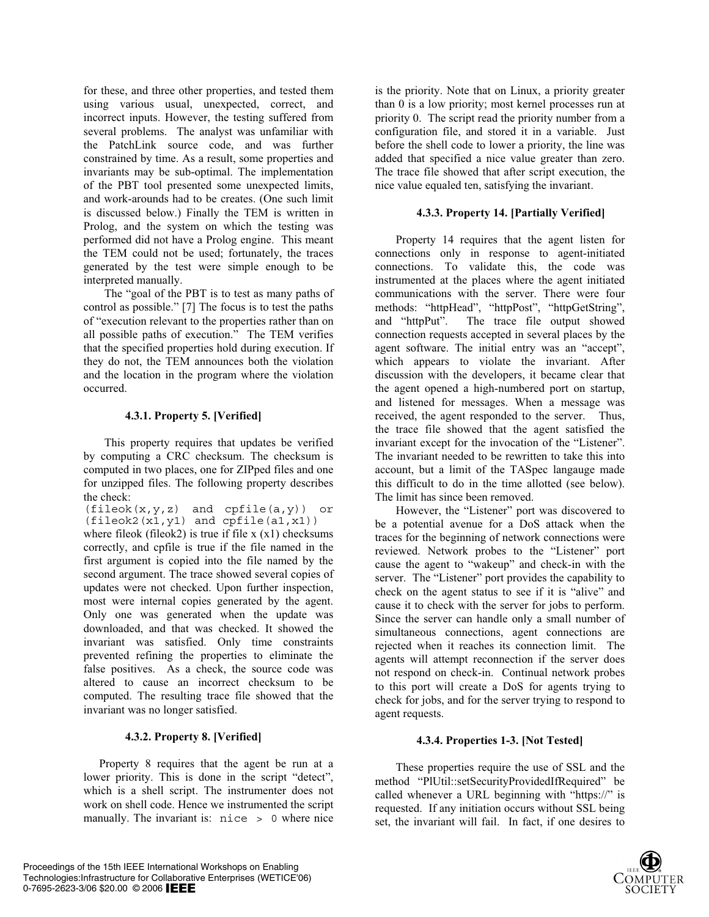for these, and three other properties, and tested them using various usual, unexpected, correct, and incorrect inputs. However, the testing suffered from several problems. The analyst was unfamiliar with the PatchLink source code, and was further constrained by time. As a result, some properties and invariants may be sub-optimal. The implementation of the PBT tool presented some unexpected limits, and work-arounds had to be creates. (One such limit is discussed below.) Finally the TEM is written in Prolog, and the system on which the testing was performed did not have a Prolog engine. This meant the TEM could not be used; fortunately, the traces generated by the test were simple enough to be interpreted manually.

The "goal of the PBT is to test as many paths of control as possible." [7] The focus is to test the paths of "execution relevant to the properties rather than on all possible paths of execution." The TEM verifies that the specified properties hold during execution. If they do not, the TEM announces both the violation and the location in the program where the violation occurred.

# **4.3.1. Property 5. [Verified]**

This property requires that updates be verified by computing a CRC checksum. The checksum is computed in two places, one for ZIPped files and one for unzipped files. The following property describes the check:

 $(fileok(x,y,z)$  and cpfile $(a,y)$ ) or  $(fileok2(x1,y1)$  and  $cpfile(a1,x1))$ 

where fileok (fileok2) is true if file  $x(x1)$  checksums correctly, and cpfile is true if the file named in the first argument is copied into the file named by the second argument. The trace showed several copies of updates were not checked. Upon further inspection, most were internal copies generated by the agent. Only one was generated when the update was downloaded, and that was checked. It showed the invariant was satisfied. Only time constraints prevented refining the properties to eliminate the false positives. As a check, the source code was altered to cause an incorrect checksum to be computed. The resulting trace file showed that the invariant was no longer satisfied.

# **4.3.2. Property 8. [Verified]**

Property 8 requires that the agent be run at a lower priority. This is done in the script "detect", which is a shell script. The instrumenter does not work on shell code. Hence we instrumented the script manually. The invariant is: nice > 0 where nice

is the priority. Note that on Linux, a priority greater than 0 is a low priority; most kernel processes run at priority 0. The script read the priority number from a configuration file, and stored it in a variable. Just before the shell code to lower a priority, the line was added that specified a nice value greater than zero. The trace file showed that after script execution, the nice value equaled ten, satisfying the invariant.

# **4.3.3. Property 14. [Partially Verified]**

Property 14 requires that the agent listen for connections only in response to agent-initiated connections. To validate this, the code was instrumented at the places where the agent initiated communications with the server. There were four methods: "httpHead", "httpPost", "httpGetString", and "httpPut". The trace file output showed connection requests accepted in several places by the agent software. The initial entry was an "accept", which appears to violate the invariant. After discussion with the developers, it became clear that the agent opened a high-numbered port on startup, and listened for messages. When a message was received, the agent responded to the server. Thus, the trace file showed that the agent satisfied the invariant except for the invocation of the "Listener". The invariant needed to be rewritten to take this into account, but a limit of the TASpec langauge made this difficult to do in the time allotted (see below). The limit has since been removed.

However, the "Listener" port was discovered to be a potential avenue for a DoS attack when the traces for the beginning of network connections were reviewed. Network probes to the "Listener" port cause the agent to "wakeup" and check-in with the server. The "Listener" port provides the capability to check on the agent status to see if it is "alive" and cause it to check with the server for jobs to perform. Since the server can handle only a small number of simultaneous connections, agent connections are rejected when it reaches its connection limit. The agents will attempt reconnection if the server does not respond on check-in. Continual network probes to this port will create a DoS for agents trying to check for jobs, and for the server trying to respond to agent requests.

# **4.3.4. Properties 1-3. [Not Tested]**

These properties require the use of SSL and the method "PlUtil::setSecurityProvidedIfRequired" be called whenever a URL beginning with "https://" is requested. If any initiation occurs without SSL being set, the invariant will fail. In fact, if one desires to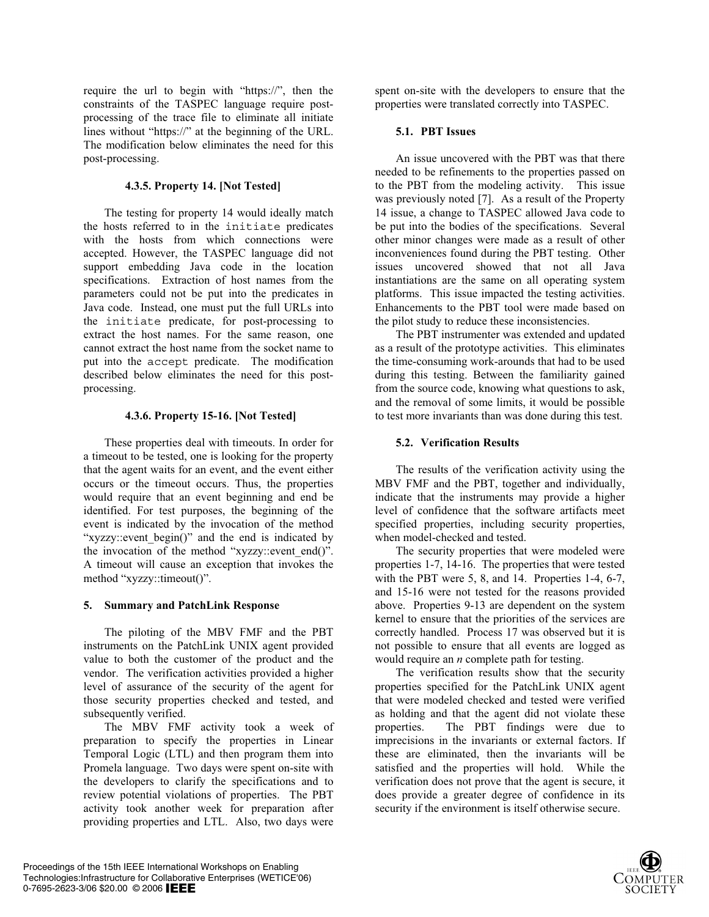require the url to begin with "https://", then the constraints of the TASPEC language require postprocessing of the trace file to eliminate all initiate lines without "https://" at the beginning of the URL. The modification below eliminates the need for this post-processing.

# **4.3.5. Property 14. [Not Tested]**

The testing for property 14 would ideally match the hosts referred to in the initiate predicates with the hosts from which connections were accepted. However, the TASPEC language did not support embedding Java code in the location specifications. Extraction of host names from the parameters could not be put into the predicates in Java code. Instead, one must put the full URLs into the initiate predicate, for post-processing to extract the host names. For the same reason, one cannot extract the host name from the socket name to put into the accept predicate. The modification described below eliminates the need for this postprocessing.

# **4.3.6. Property 15-16. [Not Tested]**

These properties deal with timeouts. In order for a timeout to be tested, one is looking for the property that the agent waits for an event, and the event either occurs or the timeout occurs. Thus, the properties would require that an event beginning and end be identified. For test purposes, the beginning of the event is indicated by the invocation of the method "xyzzy::event\_begin()" and the end is indicated by the invocation of the method "xyzzy::event end()". A timeout will cause an exception that invokes the method "xyzzy::timeout()".

# **5. Summary and PatchLink Response**

The piloting of the MBV FMF and the PBT instruments on the PatchLink UNIX agent provided value to both the customer of the product and the vendor. The verification activities provided a higher level of assurance of the security of the agent for those security properties checked and tested, and subsequently verified.

The MBV FMF activity took a week of preparation to specify the properties in Linear Temporal Logic (LTL) and then program them into Promela language. Two days were spent on-site with the developers to clarify the specifications and to review potential violations of properties. The PBT activity took another week for preparation after providing properties and LTL. Also, two days were

spent on-site with the developers to ensure that the properties were translated correctly into TASPEC.

### **5.1. PBT Issues**

An issue uncovered with the PBT was that there needed to be refinements to the properties passed on to the PBT from the modeling activity. This issue was previously noted [7]. As a result of the Property 14 issue, a change to TASPEC allowed Java code to be put into the bodies of the specifications. Several other minor changes were made as a result of other inconveniences found during the PBT testing. Other issues uncovered showed that not all Java instantiations are the same on all operating system platforms. This issue impacted the testing activities. Enhancements to the PBT tool were made based on the pilot study to reduce these inconsistencies.

The PBT instrumenter was extended and updated as a result of the prototype activities. This eliminates the time-consuming work-arounds that had to be used during this testing. Between the familiarity gained from the source code, knowing what questions to ask, and the removal of some limits, it would be possible to test more invariants than was done during this test.

# **5.2. Verification Results**

The results of the verification activity using the MBV FMF and the PBT, together and individually, indicate that the instruments may provide a higher level of confidence that the software artifacts meet specified properties, including security properties, when model-checked and tested.

The security properties that were modeled were properties 1-7, 14-16. The properties that were tested with the PBT were 5, 8, and 14. Properties 1-4, 6-7, and 15-16 were not tested for the reasons provided above. Properties 9-13 are dependent on the system kernel to ensure that the priorities of the services are correctly handled. Process 17 was observed but it is not possible to ensure that all events are logged as would require an *n* complete path for testing.

The verification results show that the security properties specified for the PatchLink UNIX agent that were modeled checked and tested were verified as holding and that the agent did not violate these properties. The PBT findings were due to imprecisions in the invariants or external factors. If these are eliminated, then the invariants will be satisfied and the properties will hold. While the verification does not prove that the agent is secure, it does provide a greater degree of confidence in its security if the environment is itself otherwise secure.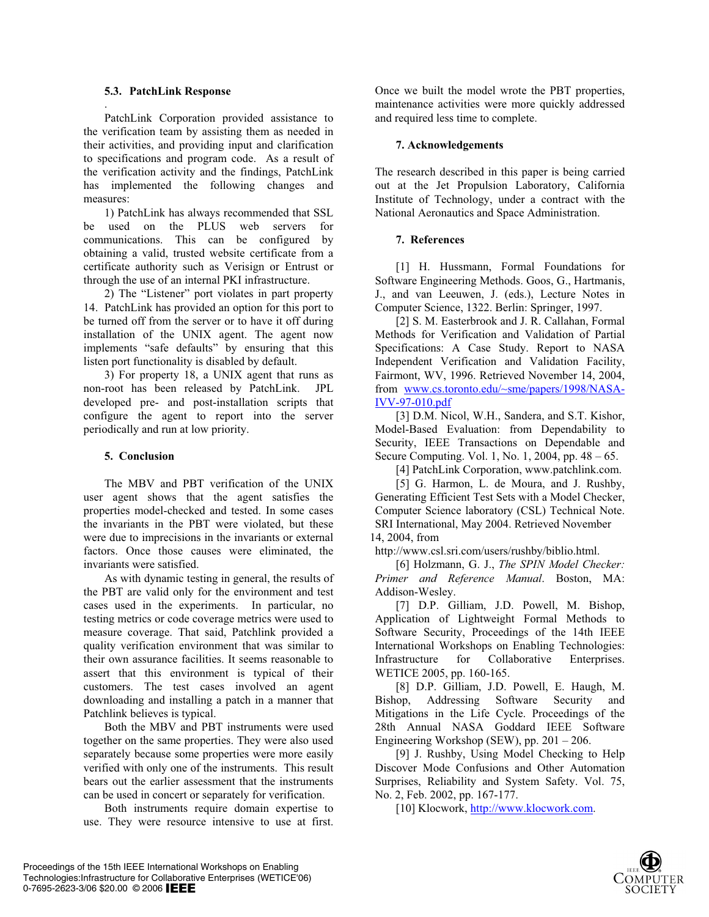# **5.3. PatchLink Response**

. PatchLink Corporation provided assistance to the verification team by assisting them as needed in their activities, and providing input and clarification to specifications and program code. As a result of the verification activity and the findings, PatchLink has implemented the following changes and measures:

1) PatchLink has always recommended that SSL be used on the PLUS web servers for communications. This can be configured by obtaining a valid, trusted website certificate from a certificate authority such as Verisign or Entrust or through the use of an internal PKI infrastructure.

2) The "Listener" port violates in part property 14. PatchLink has provided an option for this port to be turned off from the server or to have it off during installation of the UNIX agent. The agent now implements "safe defaults" by ensuring that this listen port functionality is disabled by default.

3) For property 18, a UNIX agent that runs as non-root has been released by PatchLink. JPL developed pre- and post-installation scripts that configure the agent to report into the server periodically and run at low priority.

### **5. Conclusion**

The MBV and PBT verification of the UNIX user agent shows that the agent satisfies the properties model-checked and tested. In some cases the invariants in the PBT were violated, but these were due to imprecisions in the invariants or external factors. Once those causes were eliminated, the invariants were satisfied.

As with dynamic testing in general, the results of the PBT are valid only for the environment and test cases used in the experiments. In particular, no testing metrics or code coverage metrics were used to measure coverage. That said, Patchlink provided a quality verification environment that was similar to their own assurance facilities. It seems reasonable to assert that this environment is typical of their customers. The test cases involved an agent downloading and installing a patch in a manner that Patchlink believes is typical.

Both the MBV and PBT instruments were used together on the same properties. They were also used separately because some properties were more easily verified with only one of the instruments. This result bears out the earlier assessment that the instruments can be used in concert or separately for verification.

Both instruments require domain expertise to use. They were resource intensive to use at first. Once we built the model wrote the PBT properties, maintenance activities were more quickly addressed and required less time to complete.

#### **7. Acknowledgements**

The research described in this paper is being carried out at the Jet Propulsion Laboratory, California Institute of Technology, under a contract with the National Aeronautics and Space Administration.

### **7. References**

[1] H. Hussmann, Formal Foundations for Software Engineering Methods. Goos, G., Hartmanis, J., and van Leeuwen, J. (eds.), Lecture Notes in Computer Science, 1322. Berlin: Springer, 1997.

[2] S. M. Easterbrook and J. R. Callahan, Formal Methods for Verification and Validation of Partial Specifications: A Case Study. Report to NASA Independent Verification and Validation Facility, Fairmont, WV, 1996. Retrieved November 14, 2004, from www.cs.toronto.edu/~sme/papers/1998/NASA-IVV-97-010.pdf

[3] D.M. Nicol, W.H., Sandera, and S.T. Kishor, Model-Based Evaluation: from Dependability to Security, IEEE Transactions on Dependable and Secure Computing. Vol. 1, No. 1, 2004, pp. 48 – 65.

[4] PatchLink Corporation, www.patchlink.com.

[5] G. Harmon, L. de Moura, and J. Rushby, Generating Efficient Test Sets with a Model Checker, Computer Science laboratory (CSL) Technical Note. SRI International, May 2004. Retrieved November 14, 2004, from

http://www.csl.sri.com/users/rushby/biblio.html.

[6] Holzmann, G. J., *The SPIN Model Checker: Primer and Reference Manual*. Boston, MA: Addison-Wesley.

[7] D.P. Gilliam, J.D. Powell, M. Bishop, Application of Lightweight Formal Methods to Software Security, Proceedings of the 14th IEEE International Workshops on Enabling Technologies: Infrastructure for Collaborative Enterprises. WETICE 2005, pp. 160-165.

[8] D.P. Gilliam, J.D. Powell, E. Haugh, M. Bishop, Addressing Software Security and Mitigations in the Life Cycle. Proceedings of the 28th Annual NASA Goddard IEEE Software Engineering Workshop (SEW), pp. 201 – 206.

[9] J. Rushby, Using Model Checking to Help Discover Mode Confusions and Other Automation Surprises, Reliability and System Safety. Vol. 75, No. 2, Feb. 2002, pp. 167-177.

[10] Klocwork, http://www.klocwork.com.